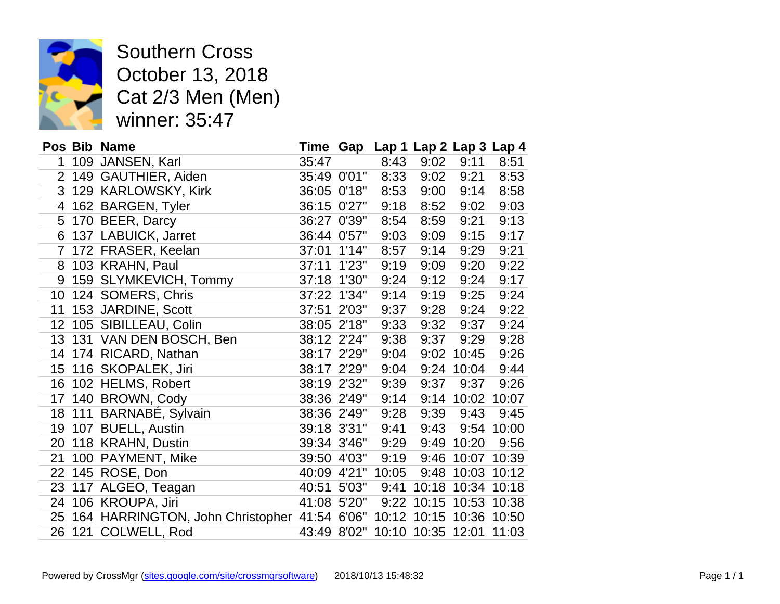

Southern Cross October 13, 2018<br>Cat 2/3 Men (Men Cat 2/3 Men (Men) winner: 35:47

|                 | Pos Bib Name                                                         |             |             |       | Time Gap Lap 1 Lap 2 Lap 3 Lap 4 |                   |       |
|-----------------|----------------------------------------------------------------------|-------------|-------------|-------|----------------------------------|-------------------|-------|
| 1               | 109 JANSEN, Karl                                                     | 35:47       |             | 8:43  | 9:02                             | 9:11              | 8:51  |
| $\overline{2}$  | 149 GAUTHIER, Aiden                                                  |             | 35:49 0'01" | 8:33  | 9:02                             | 9:21              | 8:53  |
|                 | 3 129 KARLOWSKY, Kirk                                                | 36:05 0'18" |             | 8:53  | 9:00                             | 9:14              | 8:58  |
| 4               | 162 BARGEN, Tyler                                                    |             | 36:15 0'27" | 9:18  | 8:52                             | 9:02              | 9:03  |
| 5               | 170 BEER, Darcy                                                      |             | 36:27 0'39" | 8:54  | 8:59                             | 9:21              | 9:13  |
| 6               | 137 LABUICK, Jarret                                                  | 36:44 0'57" |             | 9:03  | 9:09                             | 9:15              | 9:17  |
| $\overline{7}$  | 172 FRASER, Keelan                                                   | 37:01 1'14" |             | 8:57  | 9:14                             | 9:29              | 9:21  |
| 8               | 103 KRAHN, Paul                                                      | 37:11 1'23" |             | 9:19  | 9:09                             | 9:20              | 9:22  |
| 9               | 159 SLYMKEVICH, Tommy                                                | 37:18 1'30" |             | 9:24  | 9:12                             | 9:24              | 9:17  |
| 10              | 124 SOMERS, Chris                                                    | 37:22 1'34" |             | 9:14  | 9:19                             | 9:25              | 9:24  |
| 11              | 153 JARDINE, Scott                                                   | 37:51 2'03" |             | 9:37  | 9:28                             | 9:24              | 9:22  |
| 12              | 105 SIBILLEAU, Colin                                                 | 38:05 2'18" |             | 9:33  | 9:32                             | 9:37              | 9:24  |
| 13 <sup>7</sup> | 131 VAN DEN BOSCH, Ben                                               | 38:12 2'24" |             | 9:38  | 9:37                             | 9:29              | 9:28  |
| 14              | 174 RICARD, Nathan                                                   | 38:17 2'29" |             | 9:04  | 9:02                             | 10:45             | 9:26  |
| 15 <sub>1</sub> | 116 SKOPALEK, Jiri                                                   | 38:17 2'29" |             | 9:04  |                                  | 9:24 10:04        | 9:44  |
|                 | 16 102 HELMS, Robert                                                 |             | 38:19 2'32" | 9:39  | 9:37                             | 9:37              | 9:26  |
| 17              | 140 BROWN, Cody                                                      |             | 38:36 2'49" | 9:14  |                                  | 9:14 10:02        | 10:07 |
|                 | 18 111 BARNABÉ, Sylvain                                              |             | 38:36 2'49" | 9:28  | 9:39                             | 9:43              | 9:45  |
|                 | 19 107 BUELL, Austin                                                 | 39:18 3'31" |             | 9:41  | 9:43                             | 9:54              | 10:00 |
| 20              | 118 KRAHN, Dustin                                                    |             | 39:34 3'46" | 9:29  |                                  | 9:49 10:20        | 9:56  |
| 21              | 100 PAYMENT, Mike                                                    |             | 39:50 4'03" | 9:19  |                                  | 9:46 10:07 10:39  |       |
| 22              | 145 ROSE, Don                                                        |             | 40:09 4'21" | 10:05 |                                  | 9:48 10:03        | 10:12 |
| 23              | 117 ALGEO, Teagan                                                    | 40:51 5'03" |             | 9:41  |                                  | 10:18 10:34 10:18 |       |
| 24              | 106 KROUPA, Jiri                                                     | 41:08 5'20" |             |       | 9:22 10:15 10:53                 |                   | 10:38 |
| 25              | 164 HARRINGTON, John Christopher 41:54 6'06" 10:12 10:15 10:36 10:50 |             |             |       |                                  |                   |       |
| 26              | 121 COLWELL, Rod                                                     |             |             |       | 43:49 8'02" 10:10 10:35 12:01    |                   | 11:03 |